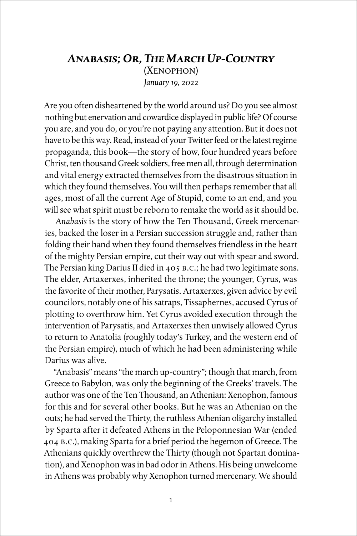## *Anabasis; Or, The March Up-Country* (Xenophon) *January 19, 2022*

Are you often disheartened by the world around us? Do you see almost nothing but enervation and cowardice displayed in public life? Of course you are, and you do, or you're not paying any attention. But it does not have to be this way. Read, instead of your Twitter feed or the latest regime propaganda, this book—the story of how, four hundred years before Christ, ten thousand Greek soldiers, free men all, through determination and vital energy extracted themselves from the disastrous situation in which they found themselves. You will then perhaps remember that all ages, most of all the current Age of Stupid, come to an end, and you will see what spirit must be reborn to remake the world as it should be.

*Anabasis* is the story of how the Ten Thousand, Greek mercenaries, backed the loser in a Persian succession struggle and, rather than folding their hand when they found themselves friendless in the heart of the mighty Persian empire, cut their way out with spear and sword. The Persian king Darius II died in 405 B.C.; he had two legitimate sons. The elder, Artaxerxes, inherited the throne; the younger, Cyrus, was the favorite of their mother, Parysatis. Artaxerxes, given advice by evil councilors, notably one of his satraps, Tissaphernes, accused Cyrus of plotting to overthrow him. Yet Cyrus avoided execution through the intervention of Parysatis, and Artaxerxes then unwisely allowed Cyrus to return to Anatolia (roughly today's Turkey, and the western end of the Persian empire), much of which he had been administering while Darius was alive.

"Anabasis" means "the march up-country"; though that march, from Greece to Babylon, was only the beginning of the Greeks' travels. The author was one of the Ten Thousand, an Athenian: Xenophon, famous for this and for several other books. But he was an Athenian on the outs; he had served the Thirty, the ruthless Athenian oligarchy installed by Sparta after it defeated Athens in the Peloponnesian War (ended 404 B.C.), making Sparta for a brief period the hegemon of Greece. The Athenians quickly overthrew the Thirty (though not Spartan domination), and Xenophon was in bad odor in Athens. His being unwelcome in Athens was probably why Xenophon turned mercenary. We should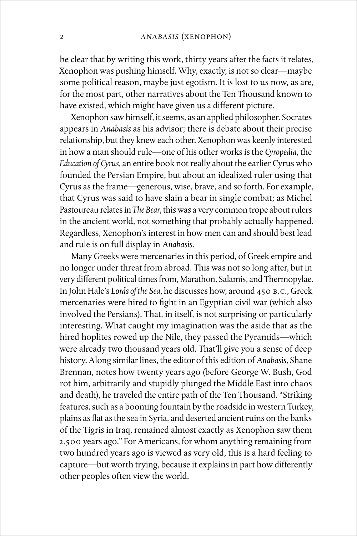be clear that by writing this work, thirty years after the facts it relates, Xenophon was pushing himself. Why, exactly, is not so clear—maybe some political reason, maybe just egotism. It is lost to us now, as are, for the most part, other narratives about the Ten Thousand known to have existed, which might have given us a different picture.

Xenophon saw himself, it seems, as an applied philosopher. Socrates appears in *Anabasis* as his advisor; there is debate about their precise relationship, but they knew each other. Xenophon was keenly interested in how a man should rule—one of his other works is the *Cyropedia*, the *Education of Cyrus*, an entire book not really about the earlier Cyrus who founded the Persian Empire, but about an idealized ruler using that Cyrus as the frame—generous, wise, brave, and so forth. For example, that Cyrus was said to have slain a bear in single combat; as Michel Pastoureau relates in *The Bear*, this was a very common trope about rulers in the ancient world, not something that probably actually happened. Regardless, Xenophon's interest in how men can and should best lead and rule is on full display in *Anabasis*.

Many Greeks were mercenaries in this period, of Greek empire and no longer under threat from abroad. This was not so long after, but in very different political times from, Marathon, Salamis, and Thermopylae. In John Hale's *Lords of the Sea*, he discusses how, around 450 B.C., Greek mercenaries were hired to fight in an Egyptian civil war (which also involved the Persians). That, in itself, is not surprising or particularly interesting. What caught my imagination was the aside that as the hired hoplites rowed up the Nile, they passed the Pyramids—which were already two thousand years old. That'll give you a sense of deep history. Along similar lines, the editor of this edition of *Anabasis*, Shane Brennan, notes how twenty years ago (before George W. Bush, God rot him, arbitrarily and stupidly plunged the Middle East into chaos and death), he traveled the entire path of the Ten Thousand. "Striking features, such as a booming fountain by the roadside in western Turkey, plains as flat as the sea in Syria, and deserted ancient ruins on the banks of the Tigris in Iraq, remained almost exactly as Xenophon saw them 2,500 years ago." For Americans, for whom anything remaining from two hundred years ago is viewed as very old, this is a hard feeling to capture—but worth trying, because it explains in part how differently other peoples often view the world.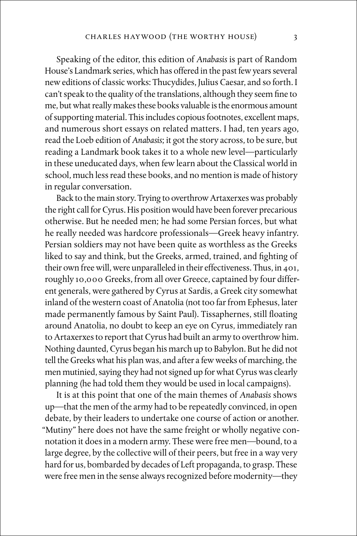Speaking of the editor, this edition of *Anabasis* is part of Random House's Landmark series, which has offered in the past few years several new editions of classic works: Thucydides, Julius Caesar, and so forth. I can't speak to the quality of the translations, although they seem fine to me, but what really makes these books valuable is the enormous amount of supporting material. This includes copious footnotes, excellent maps, and numerous short essays on related matters. I had, ten years ago, read the Loeb edition of *Anabasis*; it got the story across, to be sure, but reading a Landmark book takes it to a whole new level—particularly in these uneducated days, when few learn about the Classical world in school, much less read these books, and no mention is made of history in regular conversation.

Back to the main story. Trying to overthrow Artaxerxes was probably the right call for Cyrus. His position would have been forever precarious otherwise. But he needed men; he had some Persian forces, but what he really needed was hardcore professionals—Greek heavy infantry. Persian soldiers may not have been quite as worthless as the Greeks liked to say and think, but the Greeks, armed, trained, and fighting of their own free will, were unparalleled in their effectiveness. Thus, in 401, roughly 10,000 Greeks, from all over Greece, captained by four different generals, were gathered by Cyrus at Sardis, a Greek city somewhat inland of the western coast of Anatolia (not too far from Ephesus, later made permanently famous by Saint Paul). Tissaphernes, still floating around Anatolia, no doubt to keep an eye on Cyrus, immediately ran to Artaxerxes to report that Cyrus had built an army to overthrow him. Nothing daunted, Cyrus began his march up to Babylon. But he did not tell the Greeks what his plan was, and after a few weeks of marching, the men mutinied, saying they had not signed up for what Cyrus was clearly planning (he had told them they would be used in local campaigns).

It is at this point that one of the main themes of *Anabasis* shows up—that the men of the army had to be repeatedly convinced, in open debate, by their leaders to undertake one course of action or another. "Mutiny" here does not have the same freight or wholly negative connotation it does in a modern army. These were free men—bound, to a large degree, by the collective will of their peers, but free in a way very hard for us, bombarded by decades of Left propaganda, to grasp. These were free men in the sense always recognized before modernity—they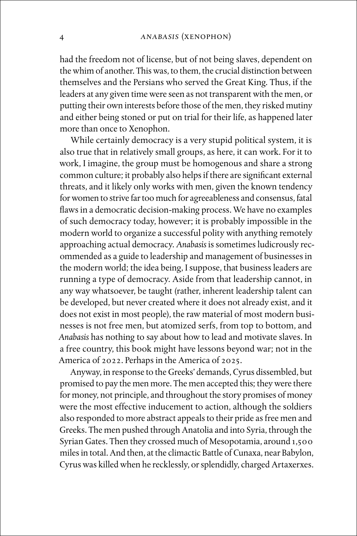had the freedom not of license, but of not being slaves, dependent on the whim of another. This was, to them, the crucial distinction between themselves and the Persians who served the Great King. Thus, if the leaders at any given time were seen as not transparent with the men, or putting their own interests before those of the men, they risked mutiny and either being stoned or put on trial for their life, as happened later more than once to Xenophon.

While certainly democracy is a very stupid political system, it is also true that in relatively small groups, as here, it can work. For it to work, I imagine, the group must be homogenous and share a strong common culture; it probably also helps if there are significant external threats, and it likely only works with men, given the known tendency for women to strive far too much for agreeableness and consensus, fatal flaws in a democratic decision-making process. We have no examples of such democracy today, however; it is probably impossible in the modern world to organize a successful polity with anything remotely approaching actual democracy. *Anabasis* is sometimes ludicrously recommended as a guide to leadership and management of businesses in the modern world; the idea being, I suppose, that business leaders are running a type of democracy. Aside from that leadership cannot, in any way whatsoever, be taught (rather, inherent leadership talent can be developed, but never created where it does not already exist, and it does not exist in most people), the raw material of most modern businesses is not free men, but atomized serfs, from top to bottom, and *Anabasis* has nothing to say about how to lead and motivate slaves. In a free country, this book might have lessons beyond war; not in the America of 2022. Perhaps in the America of 2025.

Anyway, in response to the Greeks' demands, Cyrus dissembled, but promised to pay the men more. The men accepted this; they were there for money, not principle, and throughout the story promises of money were the most effective inducement to action, although the soldiers also responded to more abstract appeals to their pride as free men and Greeks. The men pushed through Anatolia and into Syria, through the Syrian Gates. Then they crossed much of Mesopotamia, around 1,500 miles in total. And then, at the climactic Battle of Cunaxa, near Babylon, Cyrus was killed when he recklessly, or splendidly, charged Artaxerxes.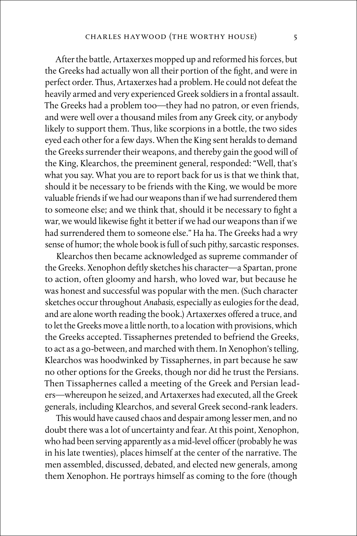After the battle, Artaxerxes mopped up and reformed his forces, but the Greeks had actually won all their portion of the fight, and were in perfect order. Thus, Artaxerxes had a problem. He could not defeat the heavily armed and very experienced Greek soldiers in a frontal assault. The Greeks had a problem too—they had no patron, or even friends, and were well over a thousand miles from any Greek city, or anybody likely to support them. Thus, like scorpions in a bottle, the two sides eyed each other for a few days. When the King sent heralds to demand the Greeks surrender their weapons, and thereby gain the good will of the King, Klearchos, the preeminent general, responded: "Well, that's what you say. What you are to report back for us is that we think that, should it be necessary to be friends with the King, we would be more valuable friends if we had our weapons than if we had surrendered them to someone else; and we think that, should it be necessary to fight a war, we would likewise fight it better if we had our weapons than if we had surrendered them to someone else." Ha ha. The Greeks had a wry sense of humor; the whole book is full of such pithy, sarcastic responses.

Klearchos then became acknowledged as supreme commander of the Greeks. Xenophon deftly sketches his character—a Spartan, prone to action, often gloomy and harsh, who loved war, but because he was honest and successful was popular with the men. (Such character sketches occur throughout *Anabasis*, especially as eulogies for the dead, and are alone worth reading the book.) Artaxerxes offered a truce, and to let the Greeks move a little north, to a location with provisions, which the Greeks accepted. Tissaphernes pretended to befriend the Greeks, to act as a go-between, and marched with them. In Xenophon's telling, Klearchos was hoodwinked by Tissaphernes, in part because he saw no other options for the Greeks, though nor did he trust the Persians. Then Tissaphernes called a meeting of the Greek and Persian leaders—whereupon he seized, and Artaxerxes had executed, all the Greek generals, including Klearchos, and several Greek second-rank leaders.

This would have caused chaos and despair among lesser men, and no doubt there was a lot of uncertainty and fear. At this point, Xenophon, who had been serving apparently as a mid-level officer (probably he was in his late twenties), places himself at the center of the narrative. The men assembled, discussed, debated, and elected new generals, among them Xenophon. He portrays himself as coming to the fore (though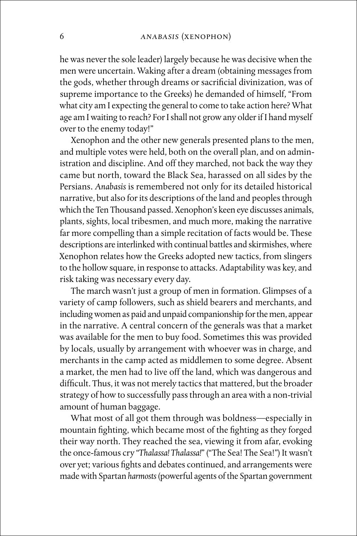he was never the sole leader) largely because he was decisive when the men were uncertain. Waking after a dream (obtaining messages from the gods, whether through dreams or sacrificial divinization, was of supreme importance to the Greeks) he demanded of himself, "From what city am I expecting the general to come to take action here? What age am I waiting to reach? For I shall not grow any older if I hand myself over to the enemy today!"

Xenophon and the other new generals presented plans to the men, and multiple votes were held, both on the overall plan, and on administration and discipline. And off they marched, not back the way they came but north, toward the Black Sea, harassed on all sides by the Persians. *Anabasis* is remembered not only for its detailed historical narrative, but also for its descriptions of the land and peoples through which the Ten Thousand passed. Xenophon's keen eye discusses animals, plants, sights, local tribesmen, and much more, making the narrative far more compelling than a simple recitation of facts would be. These descriptions are interlinked with continual battles and skirmishes, where Xenophon relates how the Greeks adopted new tactics, from slingers to the hollow square, in response to attacks. Adaptability was key, and risk taking was necessary every day.

The march wasn't just a group of men in formation. Glimpses of a variety of camp followers, such as shield bearers and merchants, and including women as paid and unpaid companionship for the men, appear in the narrative. A central concern of the generals was that a market was available for the men to buy food. Sometimes this was provided by locals, usually by arrangement with whoever was in charge, and merchants in the camp acted as middlemen to some degree. Absent a market, the men had to live off the land, which was dangerous and difficult. Thus, it was not merely tactics that mattered, but the broader strategy of how to successfully pass through an area with a non-trivial amount of human baggage.

What most of all got them through was boldness—especially in mountain fighting, which became most of the fighting as they forged their way north. They reached the sea, viewing it from afar, evoking the once-famous cry "*Thalassa! Thalassa!*" ("The Sea! The Sea!") It wasn't over yet; various fights and debates continued, and arrangements were made with Spartan *harmosts* (powerful agents of the Spartan government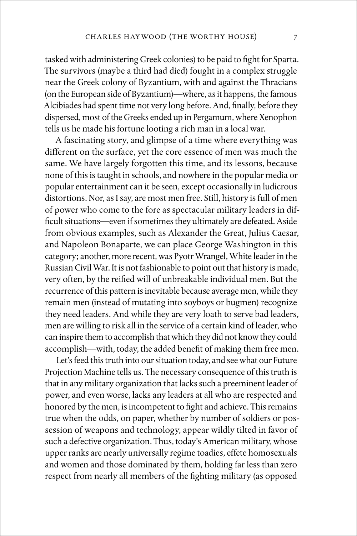tasked with administering Greek colonies) to be paid to fight for Sparta. The survivors (maybe a third had died) fought in a complex struggle near the Greek colony of Byzantium, with and against the Thracians (on the European side of Byzantium)—where, as it happens, the famous Alcibiades had spent time not very long before. And, finally, before they dispersed, most of the Greeks ended up in Pergamum, where Xenophon tells us he made his fortune looting a rich man in a local war.

A fascinating story, and glimpse of a time where everything was different on the surface, yet the core essence of men was much the same. We have largely forgotten this time, and its lessons, because none of this is taught in schools, and nowhere in the popular media or popular entertainment can it be seen, except occasionally in ludicrous distortions. Nor, as I say, are most men free. Still, history is full of men of power who come to the fore as spectacular military leaders in difficult situations—even if sometimes they ultimately are defeated. Aside from obvious examples, such as Alexander the Great, Julius Caesar, and Napoleon Bonaparte, we can place George Washington in this category; another, more recent, was Pyotr Wrangel, White leader in the Russian Civil War. It is not fashionable to point out that history is made, very often, by the reified will of unbreakable individual men. But the recurrence of this pattern is inevitable because average men, while they remain men (instead of mutating into soyboys or bugmen) recognize they need leaders. And while they are very loath to serve bad leaders, men are willing to risk all in the service of a certain kind of leader, who can inspire them to accomplish that which they did not know they could accomplish—with, today, the added benefit of making them free men.

Let's feed this truth into our situation today, and see what our Future Projection Machine tells us. The necessary consequence of this truth is that in any military organization that lacks such a preeminent leader of power, and even worse, lacks any leaders at all who are respected and honored by the men, is incompetent to fight and achieve. This remains true when the odds, on paper, whether by number of soldiers or possession of weapons and technology, appear wildly tilted in favor of such a defective organization. Thus, today's American military, whose upper ranks are nearly universally regime toadies, effete homosexuals and women and those dominated by them, holding far less than zero respect from nearly all members of the fighting military (as opposed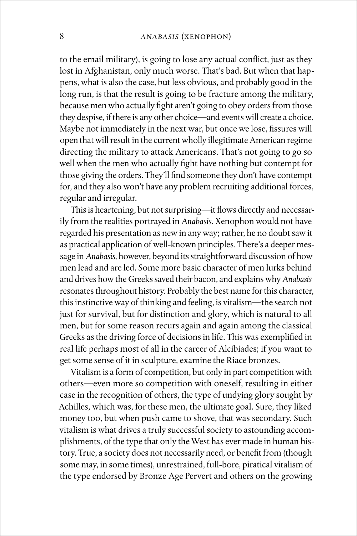to the email military), is going to lose any actual conflict, just as they lost in Afghanistan, only much worse. That's bad. But when that happens, what is also the case, but less obvious, and probably good in the long run, is that the result is going to be fracture among the military, because men who actually fight aren't going to obey orders from those they despise, if there is any other choice—and events will create a choice. Maybe not immediately in the next war, but once we lose, fissures will open that will result in the current wholly illegitimate American regime directing the military to attack Americans. That's not going to go so well when the men who actually fight have nothing but contempt for those giving the orders. They'll find someone they don't have contempt for, and they also won't have any problem recruiting additional forces, regular and irregular.

This is heartening, but not surprising—it flows directly and necessarily from the realities portrayed in *Anabasis*. Xenophon would not have regarded his presentation as new in any way; rather, he no doubt saw it as practical application of well-known principles. There's a deeper message in *Anabasis*, however, beyond its straightforward discussion of how men lead and are led. Some more basic character of men lurks behind and drives how the Greeks saved their bacon, and explains why *Anabasis* resonates throughout history. Probably the best name for this character, this instinctive way of thinking and feeling, is vitalism—the search not just for survival, but for distinction and glory, which is natural to all men, but for some reason recurs again and again among the classical Greeks as the driving force of decisions in life. This was exemplified in real life perhaps most of all in the career of Alcibiades; if you want to get some sense of it in sculpture, examine the Riace bronzes.

Vitalism is a form of competition, but only in part competition with others—even more so competition with oneself, resulting in either case in the recognition of others, the type of undying glory sought by Achilles, which was, for these men, the ultimate goal. Sure, they liked money too, but when push came to shove, that was secondary. Such vitalism is what drives a truly successful society to astounding accomplishments, of the type that only the West has ever made in human history. True, a society does not necessarily need, or benefit from (though some may, in some times), unrestrained, full-bore, piratical vitalism of the type endorsed by Bronze Age Pervert and others on the growing